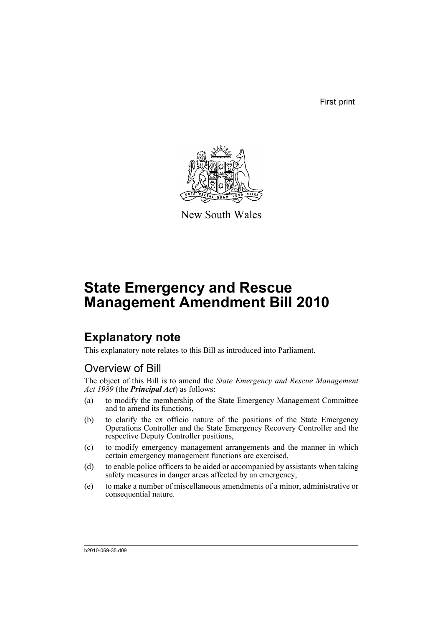First print



New South Wales

# **State Emergency and Rescue Management Amendment Bill 2010**

# **Explanatory note**

This explanatory note relates to this Bill as introduced into Parliament.

## Overview of Bill

The object of this Bill is to amend the *State Emergency and Rescue Management Act 1989* (the *Principal Act*) as follows:

- (a) to modify the membership of the State Emergency Management Committee and to amend its functions,
- (b) to clarify the ex officio nature of the positions of the State Emergency Operations Controller and the State Emergency Recovery Controller and the respective Deputy Controller positions,
- (c) to modify emergency management arrangements and the manner in which certain emergency management functions are exercised,
- (d) to enable police officers to be aided or accompanied by assistants when taking safety measures in danger areas affected by an emergency,
- (e) to make a number of miscellaneous amendments of a minor, administrative or consequential nature.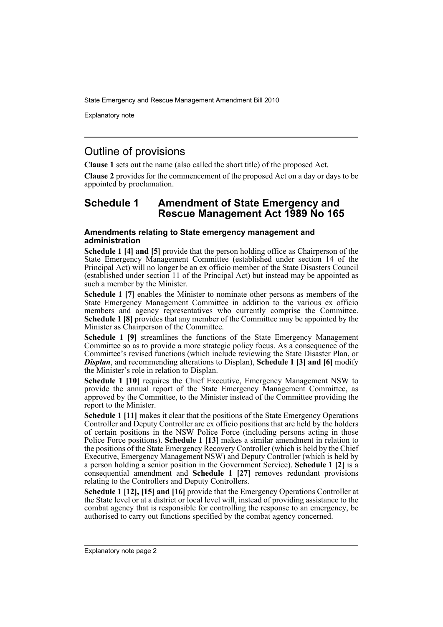Explanatory note

## Outline of provisions

**Clause 1** sets out the name (also called the short title) of the proposed Act.

**Clause 2** provides for the commencement of the proposed Act on a day or days to be appointed by proclamation.

### **Schedule 1 Amendment of State Emergency and Rescue Management Act 1989 No 165**

### **Amendments relating to State emergency management and administration**

**Schedule 1 [4] and [5]** provide that the person holding office as Chairperson of the State Emergency Management Committee (established under section 14 of the Principal Act) will no longer be an ex officio member of the State Disasters Council (established under section 11 of the Principal Act) but instead may be appointed as such a member by the Minister.

**Schedule 1 [7]** enables the Minister to nominate other persons as members of the State Emergency Management Committee in addition to the various ex officio members and agency representatives who currently comprise the Committee. **Schedule 1 [8]** provides that any member of the Committee may be appointed by the Minister as Chairperson of the Committee.

**Schedule 1 [9]** streamlines the functions of the State Emergency Management Committee so as to provide a more strategic policy focus. As a consequence of the Committee's revised functions (which include reviewing the State Disaster Plan, or *Displan*, and recommending alterations to Displan), **Schedule 1 [3] and [6]** modify the Minister's role in relation to Displan.

**Schedule 1 [10]** requires the Chief Executive, Emergency Management NSW to provide the annual report of the State Emergency Management Committee, as approved by the Committee, to the Minister instead of the Committee providing the report to the Minister.

**Schedule 1 [11]** makes it clear that the positions of the State Emergency Operations Controller and Deputy Controller are ex officio positions that are held by the holders of certain positions in the NSW Police Force (including persons acting in those Police Force positions). **Schedule 1 [13]** makes a similar amendment in relation to the positions of the State Emergency Recovery Controller (which is held by the Chief Executive, Emergency Management NSW) and Deputy Controller (which is held by a person holding a senior position in the Government Service). **Schedule 1 [2]** is a consequential amendment and **Schedule 1 [27]** removes redundant provisions relating to the Controllers and Deputy Controllers.

**Schedule 1 [12], [15] and [16]** provide that the Emergency Operations Controller at the State level or at a district or local level will, instead of providing assistance to the combat agency that is responsible for controlling the response to an emergency, be authorised to carry out functions specified by the combat agency concerned.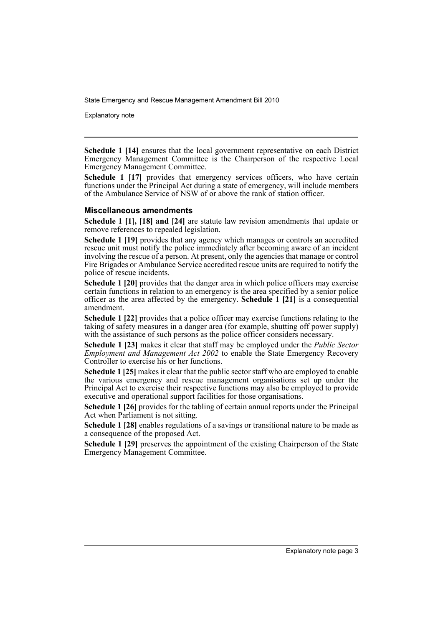Explanatory note

**Schedule 1 [14]** ensures that the local government representative on each District Emergency Management Committee is the Chairperson of the respective Local Emergency Management Committee.

**Schedule 1 [17]** provides that emergency services officers, who have certain functions under the Principal Act during a state of emergency, will include members of the Ambulance Service of NSW of or above the rank of station officer.

#### **Miscellaneous amendments**

**Schedule 1 [1], [18] and [24]** are statute law revision amendments that update or remove references to repealed legislation.

**Schedule 1 [19]** provides that any agency which manages or controls an accredited rescue unit must notify the police immediately after becoming aware of an incident involving the rescue of a person. At present, only the agencies that manage or control Fire Brigades or Ambulance Service accredited rescue units are required to notify the police of rescue incidents.

**Schedule 1 [20]** provides that the danger area in which police officers may exercise certain functions in relation to an emergency is the area specified by a senior police officer as the area affected by the emergency. **Schedule 1 [21]** is a consequential amendment.

**Schedule 1 [22]** provides that a police officer may exercise functions relating to the taking of safety measures in a danger area (for example, shutting off power supply) with the assistance of such persons as the police officer considers necessary.

**Schedule 1 [23]** makes it clear that staff may be employed under the *Public Sector Employment and Management Act 2002* to enable the State Emergency Recovery Controller to exercise his or her functions.

**Schedule 1 [25]** makes it clear that the public sector staff who are employed to enable the various emergency and rescue management organisations set up under the Principal Act to exercise their respective functions may also be employed to provide executive and operational support facilities for those organisations.

**Schedule 1 [26]** provides for the tabling of certain annual reports under the Principal Act when Parliament is not sitting.

**Schedule 1 [28]** enables regulations of a savings or transitional nature to be made as a consequence of the proposed Act.

**Schedule 1 [29]** preserves the appointment of the existing Chairperson of the State Emergency Management Committee.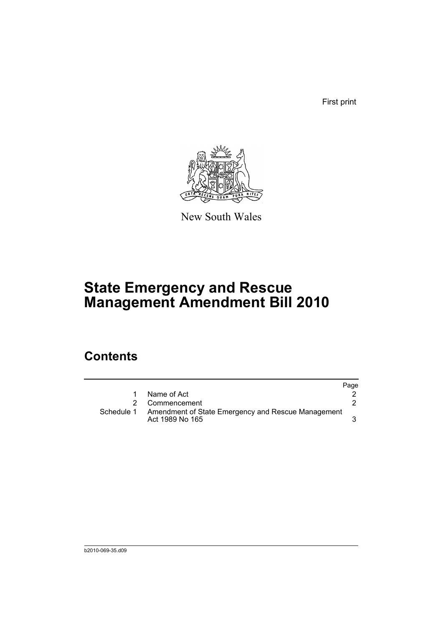First print



New South Wales

# **State Emergency and Rescue Management Amendment Bill 2010**

## **Contents**

|            |                                                                       | Page |
|------------|-----------------------------------------------------------------------|------|
|            | Name of Act                                                           |      |
|            | Commencement                                                          |      |
| Schedule 1 | Amendment of State Emergency and Rescue Management<br>Act 1989 No 165 |      |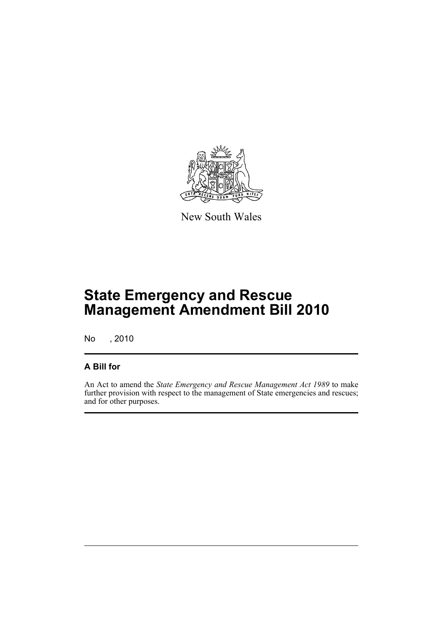

New South Wales

# **State Emergency and Rescue Management Amendment Bill 2010**

No , 2010

## **A Bill for**

An Act to amend the *State Emergency and Rescue Management Act 1989* to make further provision with respect to the management of State emergencies and rescues; and for other purposes.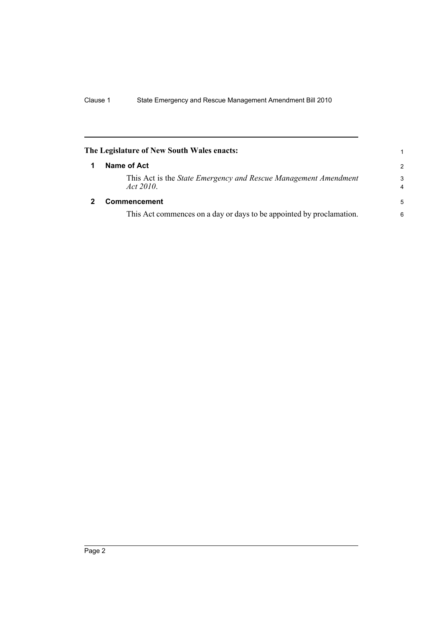<span id="page-7-1"></span><span id="page-7-0"></span>

|   | The Legislature of New South Wales enacts:                                          | 1                            |
|---|-------------------------------------------------------------------------------------|------------------------------|
|   | Name of Act                                                                         | $\mathcal{P}$                |
|   | This Act is the <i>State Emergency and Rescue Management Amendment</i><br>Act 2010. | 3<br>$\overline{\mathbf{4}}$ |
| 2 | <b>Commencement</b>                                                                 | 5                            |
|   | This Act commences on a day or days to be appointed by proclamation.                | 6                            |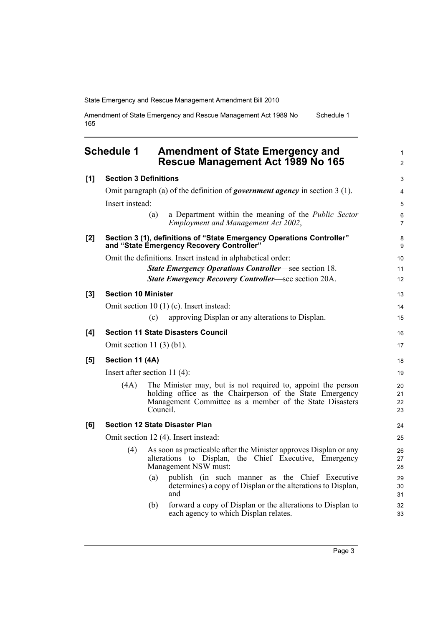Amendment of State Emergency and Rescue Management Act 1989 No 165 Schedule 1

<span id="page-8-0"></span>

|                                      | <b>Schedule 1</b>          | <b>Amendment of State Emergency and</b><br>Rescue Management Act 1989 No 165                                                                                                                    | $\mathbf{1}$<br>$\overline{2}$ |
|--------------------------------------|----------------------------|-------------------------------------------------------------------------------------------------------------------------------------------------------------------------------------------------|--------------------------------|
| [1]                                  |                            | <b>Section 3 Definitions</b>                                                                                                                                                                    | 3                              |
|                                      |                            | Omit paragraph (a) of the definition of government agency in section $3(1)$ .                                                                                                                   | $\overline{4}$                 |
|                                      | Insert instead:            |                                                                                                                                                                                                 | 5                              |
|                                      |                            | (a)<br>a Department within the meaning of the <i>Public Sector</i><br>Employment and Management Act 2002,                                                                                       | 6<br>$\overline{7}$            |
| [2]                                  |                            | Section 3 (1), definitions of "State Emergency Operations Controller"<br>and "State Emergency Recovery Controller"                                                                              | 8<br>9                         |
|                                      |                            | Omit the definitions. Insert instead in alphabetical order:                                                                                                                                     | 10                             |
|                                      |                            | <b>State Emergency Operations Controller—see section 18.</b>                                                                                                                                    | 11                             |
|                                      |                            | <b>State Emergency Recovery Controller—see section 20A.</b>                                                                                                                                     | 12                             |
| [3]                                  | <b>Section 10 Minister</b> |                                                                                                                                                                                                 | 13                             |
|                                      |                            | Omit section $10(1)(c)$ . Insert instead:                                                                                                                                                       | 14                             |
|                                      |                            | approving Displan or any alterations to Displan.<br>(c)                                                                                                                                         | 15                             |
| [4]                                  |                            | <b>Section 11 State Disasters Council</b>                                                                                                                                                       | 16                             |
|                                      |                            | Omit section $11(3)(b1)$ .                                                                                                                                                                      | 17                             |
| [5]                                  | Section 11 (4A)            |                                                                                                                                                                                                 | 18                             |
|                                      |                            | Insert after section $11(4)$ :                                                                                                                                                                  | 19                             |
|                                      | (4A)                       | The Minister may, but is not required to, appoint the person<br>holding office as the Chairperson of the State Emergency<br>Management Committee as a member of the State Disasters<br>Council. | 20<br>21<br>22<br>23           |
| [6]                                  |                            | <b>Section 12 State Disaster Plan</b>                                                                                                                                                           | 24                             |
| Omit section 12 (4). Insert instead: |                            |                                                                                                                                                                                                 | 25                             |
|                                      | (4)                        | As soon as practicable after the Minister approves Displan or any<br>alterations to Displan,<br>the Chief Executive, Emergency<br>Management NSW must:                                          | 26<br>27<br>28                 |
|                                      |                            | publish (in such manner as the Chief Executive<br>(a)<br>determines) a copy of Displan or the alterations to Displan,<br>and                                                                    | 29<br>30<br>31                 |
|                                      |                            | forward a copy of Displan or the alterations to Displan to<br>(b)<br>each agency to which Displan relates.                                                                                      | 32<br>33                       |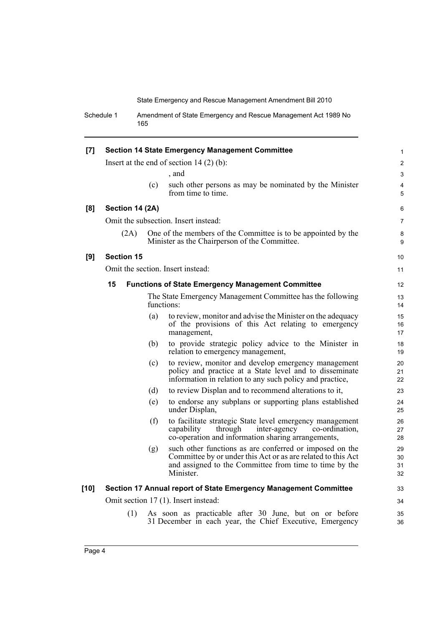Schedule 1 Amendment of State Emergency and Rescue Management Act 1989 No 165

| [7]    | <b>Section 14 State Emergency Management Committee</b> |                   |     |                                                                                                                                                                                                | 1                    |
|--------|--------------------------------------------------------|-------------------|-----|------------------------------------------------------------------------------------------------------------------------------------------------------------------------------------------------|----------------------|
|        |                                                        |                   |     | Insert at the end of section $14(2)(b)$ :                                                                                                                                                      | $\overline{2}$       |
|        |                                                        |                   |     | , and                                                                                                                                                                                          | 3                    |
|        |                                                        |                   | (c) | such other persons as may be nominated by the Minister<br>from time to time.                                                                                                                   | 4<br>5               |
| [8]    |                                                        | Section 14 (2A)   |     |                                                                                                                                                                                                | 6                    |
|        |                                                        |                   |     | Omit the subsection. Insert instead:                                                                                                                                                           | $\overline{7}$       |
|        |                                                        | (2A)              |     | One of the members of the Committee is to be appointed by the<br>Minister as the Chairperson of the Committee.                                                                                 | 8<br>9               |
| [9]    |                                                        | <b>Section 15</b> |     |                                                                                                                                                                                                | 10                   |
|        |                                                        |                   |     | Omit the section. Insert instead:                                                                                                                                                              | 11                   |
|        | 15                                                     |                   |     | <b>Functions of State Emergency Management Committee</b>                                                                                                                                       | 12 <sup>2</sup>      |
|        |                                                        |                   |     | The State Emergency Management Committee has the following<br>functions:                                                                                                                       | 13<br>14             |
|        |                                                        |                   | (a) | to review, monitor and advise the Minister on the adequacy<br>of the provisions of this Act relating to emergency<br>management,                                                               | 15<br>16<br>17       |
|        |                                                        |                   | (b) | to provide strategic policy advice to the Minister in<br>relation to emergency management,                                                                                                     | 18<br>19             |
|        |                                                        |                   | (c) | to review, monitor and develop emergency management<br>policy and practice at a State level and to disseminate<br>information in relation to any such policy and practice,                     | 20<br>21<br>22       |
|        |                                                        |                   | (d) | to review Displan and to recommend alterations to it,                                                                                                                                          | 23                   |
|        |                                                        |                   | (e) | to endorse any subplans or supporting plans established<br>under Displan,                                                                                                                      | 24<br>25             |
|        |                                                        |                   | (f) | to facilitate strategic State level emergency management<br>through<br>capability<br>inter-agency<br>co-ordination,<br>co-operation and information sharing arrangements,                      | 26<br>27<br>28       |
|        |                                                        |                   | (g) | such other functions as are conferred or imposed on the<br>Committee by or under this Act or as are related to this Act<br>and assigned to the Committee from time to time by the<br>Minister. | 29<br>30<br>31<br>32 |
| $[10]$ |                                                        |                   |     | Section 17 Annual report of State Emergency Management Committee                                                                                                                               | 33                   |
|        | Omit section 17 (1). Insert instead:                   |                   |     | 34                                                                                                                                                                                             |                      |
|        |                                                        | (1)               |     | As soon as practicable after 30 June, but on or before<br>31 December in each year, the Chief Executive, Emergency                                                                             | 35<br>36             |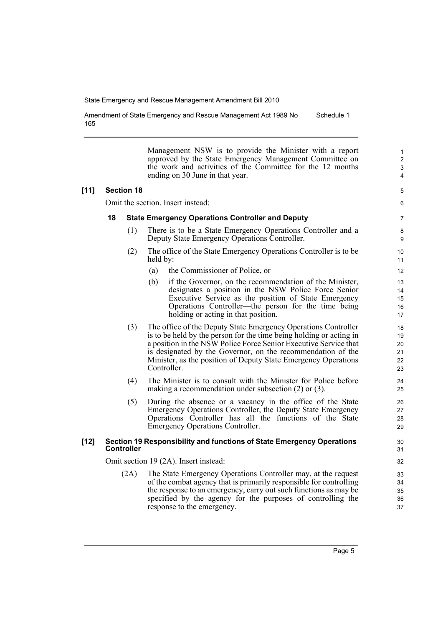Amendment of State Emergency and Rescue Management Act 1989 No 165 Schedule 1

> Management NSW is to provide the Minister with a report approved by the State Emergency Management Committee on the work and activities of the Committee for the 12 months ending on 30 June in that year.

#### **[11] Section 18**

Omit the section. Insert instead:

#### **18 State Emergency Operations Controller and Deputy**

- (1) There is to be a State Emergency Operations Controller and a Deputy State Emergency Operations Controller.
- (2) The office of the State Emergency Operations Controller is to be held by:
	- (a) the Commissioner of Police, or
	- (b) if the Governor, on the recommendation of the Minister, designates a position in the NSW Police Force Senior Executive Service as the position of State Emergency Operations Controller—the person for the time being holding or acting in that position.
- (3) The office of the Deputy State Emergency Operations Controller is to be held by the person for the time being holding or acting in a position in the NSW Police Force Senior Executive Service that is designated by the Governor, on the recommendation of the Minister, as the position of Deputy State Emergency Operations Controller.
- (4) The Minister is to consult with the Minister for Police before making a recommendation under subsection (2) or (3).
- (5) During the absence or a vacancy in the office of the State Emergency Operations Controller, the Deputy State Emergency Operations Controller has all the functions of the State Emergency Operations Controller.

#### **[12] Section 19 Responsibility and functions of State Emergency Operations Controller**

Omit section 19 (2A). Insert instead:

(2A) The State Emergency Operations Controller may, at the request of the combat agency that is primarily responsible for controlling the response to an emergency, carry out such functions as may be specified by the agency for the purposes of controlling the response to the emergency.

Page 5

31 32 33

30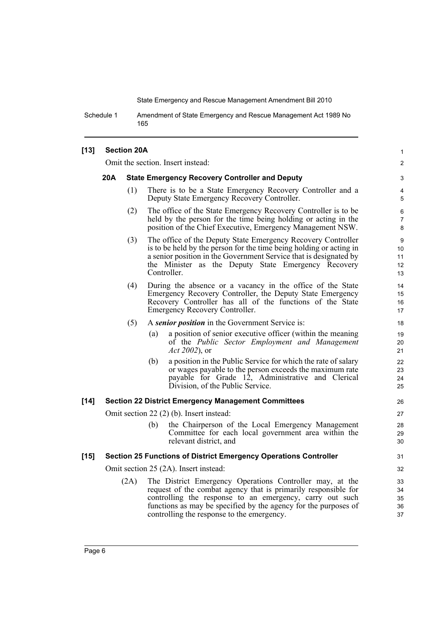Schedule 1 Amendment of State Emergency and Rescue Management Act 1989 No 165

### **[13] Section 20A**

Omit the section. Insert instead:

#### **20A State Emergency Recovery Controller and Deputy**

(1) There is to be a State Emergency Recovery Controller and a Deputy State Emergency Recovery Controller.

1  $\mathfrak{p}$ 

- (2) The office of the State Emergency Recovery Controller is to be held by the person for the time being holding or acting in the position of the Chief Executive, Emergency Management NSW.
- (3) The office of the Deputy State Emergency Recovery Controller is to be held by the person for the time being holding or acting in a senior position in the Government Service that is designated by the Minister as the Deputy State Emergency Recovery Controller.
- (4) During the absence or a vacancy in the office of the State Emergency Recovery Controller, the Deputy State Emergency Recovery Controller has all of the functions of the State Emergency Recovery Controller.

#### (5) A *senior position* in the Government Service is:

- (a) a position of senior executive officer (within the meaning of the *Public Sector Employment and Management Act 2002*), or
- (b) a position in the Public Service for which the rate of salary or wages payable to the person exceeds the maximum rate payable for Grade 12, Administrative and Clerical Division, of the Public Service.

#### **[14] Section 22 District Emergency Management Committees**

Omit section 22 (2) (b). Insert instead:

(b) the Chairperson of the Local Emergency Management Committee for each local government area within the relevant district, and

#### **[15] Section 25 Functions of District Emergency Operations Controller**

Omit section 25 (2A). Insert instead:

(2A) The District Emergency Operations Controller may, at the request of the combat agency that is primarily responsible for controlling the response to an emergency, carry out such functions as may be specified by the agency for the purposes of controlling the response to the emergency.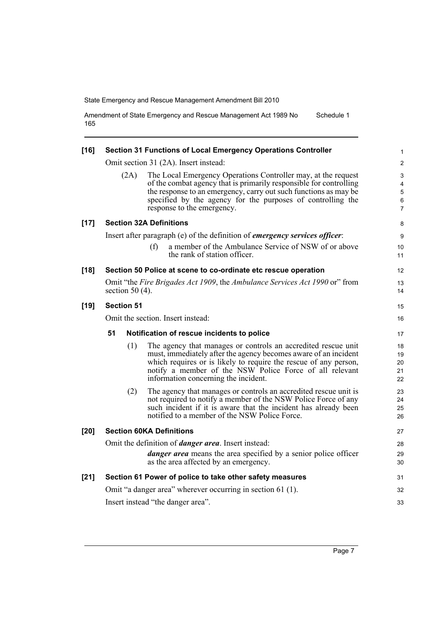Amendment of State Emergency and Rescue Management Act 1989 No 165 Schedule 1

| $[16]$ |                                                             | Section 31 Functions of Local Emergency Operations Controller                                                                                                                                                                                                                                           | 1                          |  |  |
|--------|-------------------------------------------------------------|---------------------------------------------------------------------------------------------------------------------------------------------------------------------------------------------------------------------------------------------------------------------------------------------------------|----------------------------|--|--|
|        |                                                             | Omit section 31 (2A). Insert instead:                                                                                                                                                                                                                                                                   | $\overline{2}$             |  |  |
|        | (2A)                                                        | The Local Emergency Operations Controller may, at the request<br>of the combat agency that is primarily responsible for controlling<br>the response to an emergency, carry out such functions as may be<br>specified by the agency for the purposes of controlling the<br>response to the emergency.    | 3<br>4<br>5<br>6<br>7      |  |  |
| $[17]$ |                                                             | <b>Section 32A Definitions</b>                                                                                                                                                                                                                                                                          | 8                          |  |  |
|        |                                                             | Insert after paragraph (e) of the definition of <i>emergency services officer</i> :                                                                                                                                                                                                                     | 9                          |  |  |
|        |                                                             | a member of the Ambulance Service of NSW of or above<br>(f)<br>the rank of station officer.                                                                                                                                                                                                             | 10<br>11                   |  |  |
| $[18]$ |                                                             | Section 50 Police at scene to co-ordinate etc rescue operation                                                                                                                                                                                                                                          | 12                         |  |  |
|        | section 50 $(4)$ .                                          | Omit "the Fire Brigades Act 1909, the Ambulance Services Act 1990 or" from                                                                                                                                                                                                                              | 13<br>14                   |  |  |
| $[19]$ | <b>Section 51</b>                                           |                                                                                                                                                                                                                                                                                                         |                            |  |  |
|        |                                                             | Omit the section. Insert instead:                                                                                                                                                                                                                                                                       | 16                         |  |  |
|        | 51<br>Notification of rescue incidents to police            |                                                                                                                                                                                                                                                                                                         |                            |  |  |
|        | (1)                                                         | The agency that manages or controls an accredited rescue unit<br>must, immediately after the agency becomes aware of an incident<br>which requires or is likely to require the rescue of any person,<br>notify a member of the NSW Police Force of all relevant<br>information concerning the incident. | 18<br>19<br>20<br>21<br>22 |  |  |
|        | (2)                                                         | The agency that manages or controls an accredited rescue unit is<br>not required to notify a member of the NSW Police Force of any<br>such incident if it is aware that the incident has already been<br>notified to a member of the NSW Police Force.                                                  | 23<br>24<br>25<br>26       |  |  |
| $[20]$ | <b>Section 60KA Definitions</b>                             |                                                                                                                                                                                                                                                                                                         |                            |  |  |
|        | Omit the definition of <i>danger area</i> . Insert instead: |                                                                                                                                                                                                                                                                                                         |                            |  |  |
|        |                                                             | danger area means the area specified by a senior police officer<br>as the area affected by an emergency.                                                                                                                                                                                                | 29<br>30                   |  |  |
| $[21]$ |                                                             | Section 61 Power of police to take other safety measures                                                                                                                                                                                                                                                | 31                         |  |  |
|        | Omit "a danger area" wherever occurring in section 61 (1).  |                                                                                                                                                                                                                                                                                                         |                            |  |  |
|        | Insert instead "the danger area".                           |                                                                                                                                                                                                                                                                                                         |                            |  |  |
|        |                                                             |                                                                                                                                                                                                                                                                                                         |                            |  |  |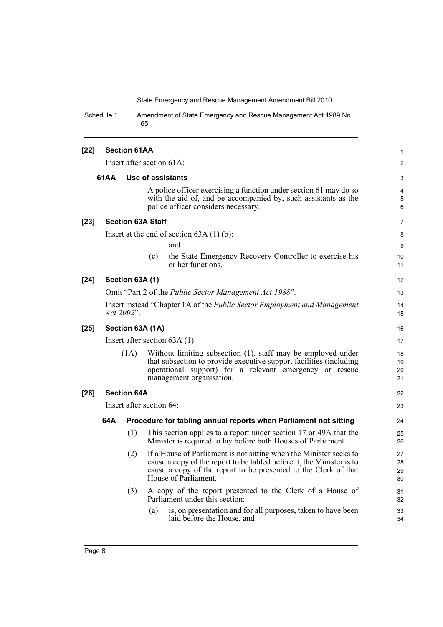Schedule 1 Amendment of State Emergency and Rescue Management Act 1989 No 165

| $[22]$                    | <b>Section 61AA</b>       |                    |                                                                                                                                                                                                                                        |                      |  |  |
|---------------------------|---------------------------|--------------------|----------------------------------------------------------------------------------------------------------------------------------------------------------------------------------------------------------------------------------------|----------------------|--|--|
|                           | Insert after section 61A: |                    |                                                                                                                                                                                                                                        | $\overline{2}$       |  |  |
| 61AA<br>Use of assistants |                           |                    |                                                                                                                                                                                                                                        |                      |  |  |
|                           |                           |                    | A police officer exercising a function under section 61 may do so<br>with the aid of, and be accompanied by, such assistants as the<br>police officer considers necessary.                                                             | 4<br>5<br>6          |  |  |
| $[23]$                    |                           |                    | <b>Section 63A Staff</b>                                                                                                                                                                                                               | 7                    |  |  |
|                           |                           |                    | Insert at the end of section $63A(1)(b)$ :<br>and<br>the State Emergency Recovery Controller to exercise his<br>(c)<br>or her functions,                                                                                               | 8<br>9<br>10<br>11   |  |  |
| $[24]$                    |                           | Section 63A (1)    |                                                                                                                                                                                                                                        | 12                   |  |  |
|                           |                           |                    | Omit "Part 2 of the <i>Public Sector Management Act 1988"</i> .                                                                                                                                                                        | 13                   |  |  |
|                           |                           | Act 2002".         | Insert instead "Chapter 1A of the Public Sector Employment and Management                                                                                                                                                              | 14<br>15             |  |  |
| $[25]$                    |                           |                    | Section 63A (1A)                                                                                                                                                                                                                       | 16                   |  |  |
|                           |                           |                    | Insert after section $63A(1)$ :                                                                                                                                                                                                        | 17                   |  |  |
|                           |                           | (1A)               | Without limiting subsection (1), staff may be employed under<br>that subsection to provide executive support facilities (including<br>operational support) for a relevant emergency or rescue<br>management organisation.              | 18<br>19<br>20<br>21 |  |  |
| $[26]$                    |                           | <b>Section 64A</b> |                                                                                                                                                                                                                                        | 22                   |  |  |
|                           |                           |                    | Insert after section 64:                                                                                                                                                                                                               | 23                   |  |  |
|                           | 64A                       |                    | Procedure for tabling annual reports when Parliament not sitting                                                                                                                                                                       | 24                   |  |  |
|                           |                           | (1)                | This section applies to a report under section 17 or 49A that the<br>Minister is required to lay before both Houses of Parliament.                                                                                                     | 25<br>26             |  |  |
|                           |                           | (2)                | If a House of Parliament is not sitting when the Minister seeks to<br>cause a copy of the report to be tabled before it, the Minister is to<br>cause a copy of the report to be presented to the Clerk of that<br>House of Parliament. | 27<br>28<br>29<br>30 |  |  |
|                           |                           | (3)                | A copy of the report presented to the Clerk of a House of<br>Parliament under this section:                                                                                                                                            | 31<br>32             |  |  |
|                           |                           |                    | is, on presentation and for all purposes, taken to have been<br>(a)<br>laid before the House, and                                                                                                                                      | 33<br>34             |  |  |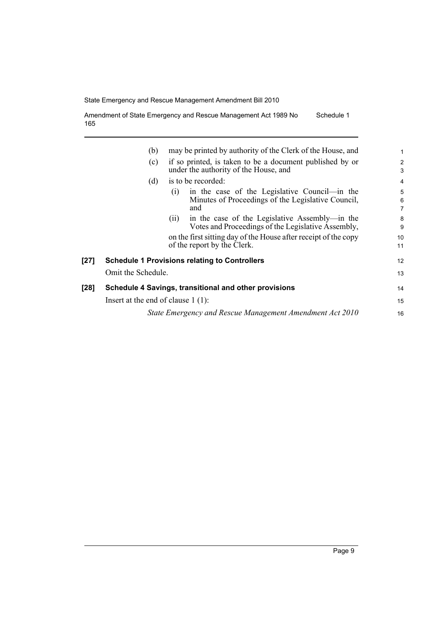Amendment of State Emergency and Rescue Management Act 1989 No 165 Schedule 1

|      | (b)                                                  | may be printed by authority of the Clerk of the House, and                                                        | $\mathbf 1$              |
|------|------------------------------------------------------|-------------------------------------------------------------------------------------------------------------------|--------------------------|
|      | (c)                                                  | if so printed, is taken to be a document published by or<br>under the authority of the House, and                 | $\overline{c}$<br>3      |
|      | (d)                                                  | is to be recorded:                                                                                                | $\overline{4}$           |
|      |                                                      | in the case of the Legislative Council—in the<br>(1)<br>Minutes of Proceedings of the Legislative Council,<br>and | 5<br>6<br>$\overline{7}$ |
|      |                                                      | in the case of the Legislative Assembly—in the<br>(11)<br>Votes and Proceedings of the Legislative Assembly,      | 8<br>9                   |
|      |                                                      | on the first sitting day of the House after receipt of the copy<br>of the report by the Clerk.                    | 10<br>11                 |
| [27] | <b>Schedule 1 Provisions relating to Controllers</b> |                                                                                                                   |                          |
|      | Omit the Schedule.                                   |                                                                                                                   | 13                       |
| [28] |                                                      | Schedule 4 Savings, transitional and other provisions                                                             | 14                       |
|      | Insert at the end of clause $1(1)$ :                 |                                                                                                                   | 15                       |
|      |                                                      | State Emergency and Rescue Management Amendment Act 2010                                                          | 16                       |